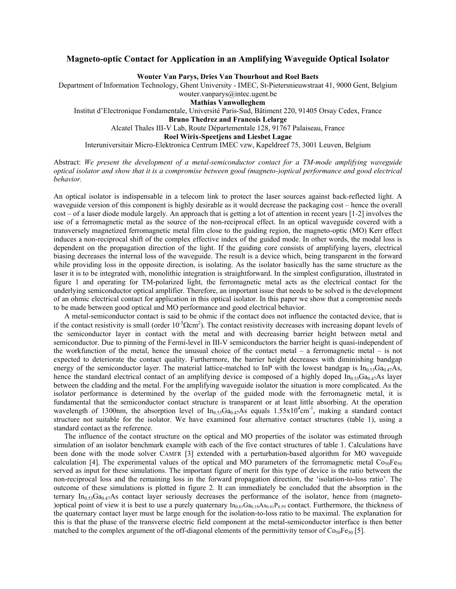## **Magneto-optic Contact for Application in an Amplifying Waveguide Optical Isolator**

**Wouter Van Parys, Dries Van Thourhout and Roel Baets** 

Department of Information Technology, Ghent University - IMEC, St-Pietersnieuwstraat 41, 9000 Gent, Belgium

wouter.vanparys@intec.ugent.be **Mathias Vanwolleghem** 

Institut d'Electronique Fondamentale, Université Paris-Sud, Bâtiment 220, 91405 Orsay Cedex, France

**Bruno Thedrez and Francois Lelarge** 

Alcatel Thales III-V Lab, Route Départementale 128, 91767 Palaiseau, France

**Roel Wirix-Speetjens and Liesbet Lagae** 

Interuniversitair Micro-Elektronica Centrum IMEC vzw, Kapeldreef 75, 3001 Leuven, Belgium

Abstract: *We present the development of a metal-semiconductor contact for a TM-mode amplifying waveguide optical isolator and show that it is a compromise between good (magneto-)optical performance and good electrical behavior.* 

An optical isolator is indispensable in a telecom link to protect the laser sources against back-reflected light. A waveguide version of this component is highly desirable as it would decrease the packaging cost – hence the overall cost – of a laser diode module largely. An approach that is getting a lot of attention in recent years [1-2] involves the use of a ferromagnetic metal as the source of the non-reciprocal effect. In an optical waveguide covered with a transversely magnetized ferromagnetic metal film close to the guiding region, the magneto-optic (MO) Kerr effect induces a non-reciprocal shift of the complex effective index of the guided mode. In other words, the modal loss is dependent on the propagation direction of the light. If the guiding core consists of amplifying layers, electrical biasing decreases the internal loss of the waveguide. The result is a device which, being transparent in the forward while providing loss in the opposite direction, is isolating. As the isolator basically has the same structure as the laser it is to be integrated with, monolithic integration is straightforward. In the simplest configuration, illustrated in figure 1 and operating for TM-polarized light, the ferromagnetic metal acts as the electrical contact for the underlying semiconductor optical amplifier. Therefore, an important issue that needs to be solved is the development of an ohmic electrical contact for application in this optical isolator. In this paper we show that a compromise needs to be made between good optical and MO performance and good electrical behavior.

A metal-semiconductor contact is said to be ohmic if the contact does not influence the contacted device, that is if the contact resistivity is small (order  $10^{-5} \Omega \text{cm}^2$ ). The contact resistivity decreases with increasing dopant levels of the semiconductor layer in contact with the metal and with decreasing barrier height between metal and semiconductor. Due to pinning of the Fermi-level in III-V semiconductors the barrier height is quasi-independent of the workfunction of the metal, hence the unusual choice of the contact metal – a ferromagnetic metal – is not expected to deteriorate the contact quality. Furthermore, the barrier height decreases with diminishing bandgap energy of the semiconductor layer. The material lattice-matched to InP with the lowest bandgap is  $In_{0.53}Ga_{0.47}As$ , hence the standard electrical contact of an amplifying device is composed of a highly doped  $In_{0.53}Ga_{0.47}As$  layer between the cladding and the metal. For the amplifying waveguide isolator the situation is more complicated. As the isolator performance is determined by the overlap of the guided mode with the ferromagnetic metal, it is fundamental that the semiconductor contact structure is transparent or at least little absorbing. At the operation wavelength of 1300nm, the absorption level of  $In_{0.53}Ga_{0.47}As$  equals  $1.55 \times 10^4$ cm<sup>-1</sup>, making a standard contact structure not suitable for the isolator. We have examined four alternative contact structures (table 1), using a standard contact as the reference.

The influence of the contact structure on the optical and MO properties of the isolator was estimated through simulation of an isolator benchmark example with each of the five contact structures of table 1. Calculations have been done with the mode solver CAMFR [3] extended with a perturbation-based algorithm for MO waveguide calculation [4]. The experimental values of the optical and MO parameters of the ferromagnetic metal  $Co_{50}Fe_{50}$ served as input for these simulations. The important figure of merit for this type of device is the ratio between the non-reciprocal loss and the remaining loss in the forward propagation direction, the 'isolation-to-loss ratio'. The outcome of these simulations is plotted in figure 2. It can immediately be concluded that the absorption in the ternary In<sub>0.53</sub>Ga<sub>0.47</sub>As contact layer seriously decreases the performance of the isolator, hence from (magneto-)optical point of view it is best to use a purely quaternary  $In_{0.81}Ga_{0.19}As_{0.41}P_{0.59}$  contact. Furthermore, the thickness of the quaternary contact layer must be large enough for the isolation-to-loss ratio to be maximal. The explanation for this is that the phase of the transverse electric field component at the metal-semiconductor interface is then better matched to the complex argument of the off-diagonal elements of the permittivity tensor of  $\cos_0Fe_{50}$  [5].